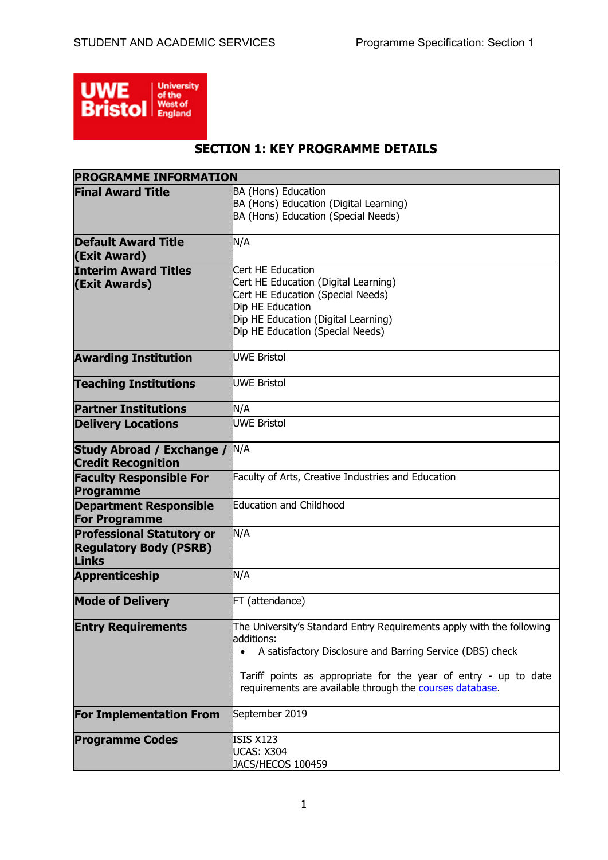

# **SECTION 1: KEY PROGRAMME DETAILS**

| <b>PROGRAMME INFORMATION</b>                                                      |                                                                                                                                                                                                                                                                                              |
|-----------------------------------------------------------------------------------|----------------------------------------------------------------------------------------------------------------------------------------------------------------------------------------------------------------------------------------------------------------------------------------------|
| <b>Final Award Title</b>                                                          | BA (Hons) Education<br>BA (Hons) Education (Digital Learning)<br>BA (Hons) Education (Special Needs)                                                                                                                                                                                         |
| <b>Default Award Title</b><br>(Exit Award)                                        | N/A                                                                                                                                                                                                                                                                                          |
| <b>Interim Award Titles</b><br>(Exit Awards)                                      | Cert HE Education<br>Cert HE Education (Digital Learning)<br>Cert HE Education (Special Needs)<br>Dip HE Education<br>Dip HE Education (Digital Learning)<br>Dip HE Education (Special Needs)                                                                                                |
| <b>Awarding Institution</b>                                                       | UWE Bristol                                                                                                                                                                                                                                                                                  |
| <b>Teaching Institutions</b>                                                      | UWE Bristol                                                                                                                                                                                                                                                                                  |
| <b>Partner Institutions</b>                                                       | N/A                                                                                                                                                                                                                                                                                          |
| <b>Delivery Locations</b>                                                         | <b>UWE Bristol</b>                                                                                                                                                                                                                                                                           |
| <b>Study Abroad / Exchange / N/A</b><br><b>Credit Recognition</b>                 |                                                                                                                                                                                                                                                                                              |
| <b>Faculty Responsible For</b><br>Programme                                       | Faculty of Arts, Creative Industries and Education                                                                                                                                                                                                                                           |
| <b>Department Responsible</b><br><b>For Programme</b>                             | Education and Childhood                                                                                                                                                                                                                                                                      |
| <b>Professional Statutory or</b><br><b>Regulatory Body (PSRB)</b><br><b>Links</b> | N/A                                                                                                                                                                                                                                                                                          |
| <b>Apprenticeship</b>                                                             | N/A                                                                                                                                                                                                                                                                                          |
| <b>Mode of Delivery</b>                                                           | FT (attendance)                                                                                                                                                                                                                                                                              |
| <b>Entry Requirements</b>                                                         | The University's Standard Entry Requirements apply with the following<br>additions:<br>A satisfactory Disclosure and Barring Service (DBS) check<br>$\bullet$<br>Tariff points as appropriate for the year of entry - up to date<br>requirements are available through the courses database. |
| <b>For Implementation From</b>                                                    | September 2019                                                                                                                                                                                                                                                                               |
| <b>Programme Codes</b>                                                            | <b>ISIS X123</b><br><b>UCAS: X304</b><br>JACS/HECOS 100459                                                                                                                                                                                                                                   |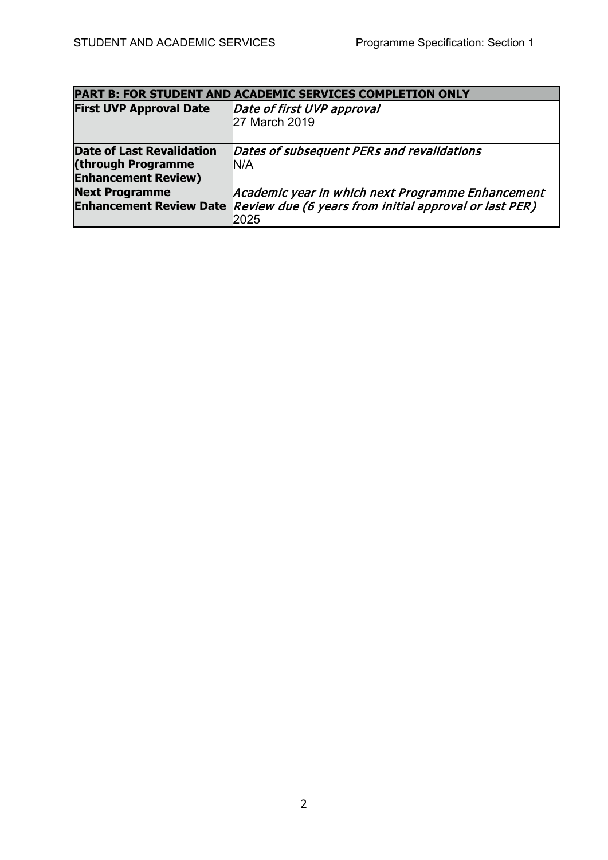| <b>PART B: FOR STUDENT AND ACADEMIC SERVICES COMPLETION ONLY</b>                     |                                                                                                                                             |  |  |  |  |  |  |
|--------------------------------------------------------------------------------------|---------------------------------------------------------------------------------------------------------------------------------------------|--|--|--|--|--|--|
| <b>First UVP Approval Date</b>                                                       | Date of first UVP approval<br>27 March 2019                                                                                                 |  |  |  |  |  |  |
| <b>Date of Last Revalidation</b><br>(through Programme<br><b>Enhancement Review)</b> | Dates of subsequent PERs and revalidations<br>N/A                                                                                           |  |  |  |  |  |  |
| <b>Next Programme</b>                                                                | Academic year in which next Programme Enhancement<br>Enhancement Review Date Review due (6 years from initial approval or last PER)<br>2025 |  |  |  |  |  |  |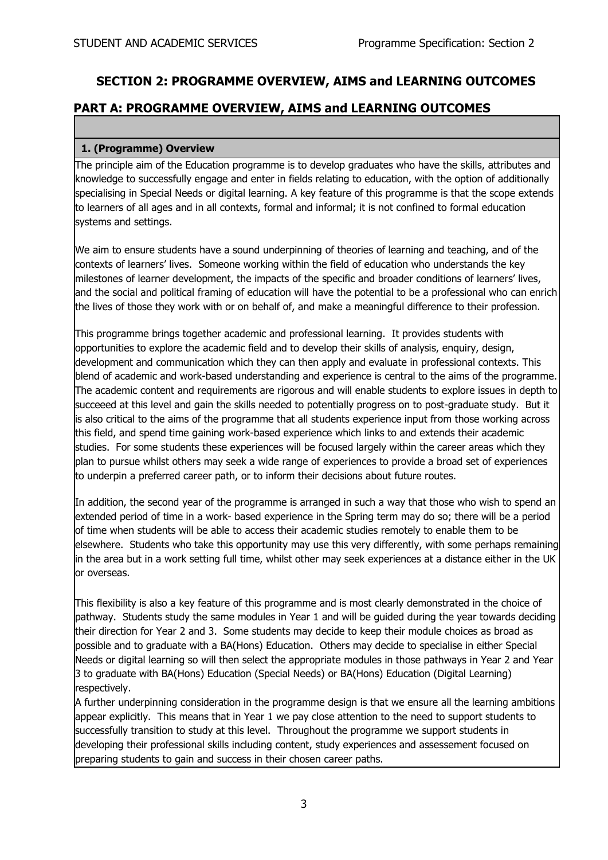# **SECTION 2: PROGRAMME OVERVIEW, AIMS and LEARNING OUTCOMES**

### **PART A: PROGRAMME OVERVIEW, AIMS and LEARNING OUTCOMES**

#### **1. (Programme) Overview**

The principle aim of the Education programme is to develop graduates who have the skills, attributes and knowledge to successfully engage and enter in fields relating to education, with the option of additionally specialising in Special Needs or digital learning. A key feature of this programme is that the scope extends to learners of all ages and in all contexts, formal and informal; it is not confined to formal education systems and settings.

We aim to ensure students have a sound underpinning of theories of learning and teaching, and of the contexts of learners' lives. Someone working within the field of education who understands the key milestones of learner development, the impacts of the specific and broader conditions of learners' lives, and the social and political framing of education will have the potential to be a professional who can enrich the lives of those they work with or on behalf of, and make a meaningful difference to their profession.

This programme brings together academic and professional learning. It provides students with opportunities to explore the academic field and to develop their skills of analysis, enquiry, design, development and communication which they can then apply and evaluate in professional contexts. This blend of academic and work-based understanding and experience is central to the aims of the programme. The academic content and requirements are rigorous and will enable students to explore issues in depth to succeeed at this level and gain the skills needed to potentially progress on to post-graduate study. But it is also critical to the aims of the programme that all students experience input from those working across this field, and spend time gaining work-based experience which links to and extends their academic studies. For some students these experiences will be focused largely within the career areas which they plan to pursue whilst others may seek a wide range of experiences to provide a broad set of experiences to underpin a preferred career path, or to inform their decisions about future routes.

In addition, the second year of the programme is arranged in such a way that those who wish to spend an extended period of time in a work- based experience in the Spring term may do so; there will be a period of time when students will be able to access their academic studies remotely to enable them to be elsewhere. Students who take this opportunity may use this very differently, with some perhaps remaining in the area but in a work setting full time, whilst other may seek experiences at a distance either in the UK or overseas.

This flexibility is also a key feature of this programme and is most clearly demonstrated in the choice of pathway. Students study the same modules in Year 1 and will be guided during the year towards deciding their direction for Year 2 and 3. Some students may decide to keep their module choices as broad as possible and to graduate with a BA(Hons) Education. Others may decide to specialise in either Special Needs or digital learning so will then select the appropriate modules in those pathways in Year 2 and Year 3 to graduate with BA(Hons) Education (Special Needs) or BA(Hons) Education (Digital Learning) respectively.

A further underpinning consideration in the programme design is that we ensure all the learning ambitions appear explicitly. This means that in Year 1 we pay close attention to the need to support students to successfully transition to study at this level. Throughout the programme we support students in developing their professional skills including content, study experiences and assessement focused on preparing students to gain and success in their chosen career paths.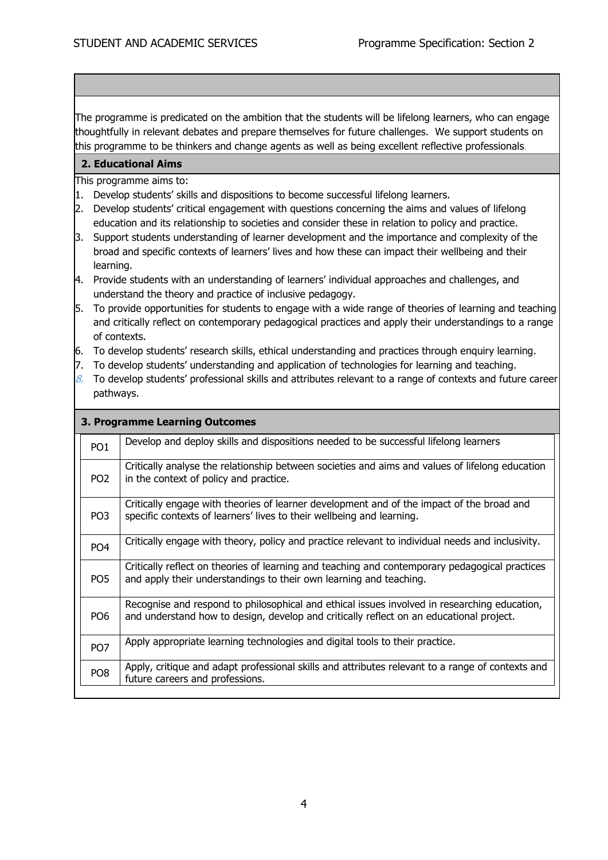The programme is predicated on the ambition that the students will be lifelong learners, who can engage thoughtfully in relevant debates and prepare themselves for future challenges. We support students on this programme to be thinkers and change agents as well as being excellent reflective professionals.

#### **2. Educational Aims**

This programme aims to:

- 1. Develop students' skills and dispositions to become successful lifelong learners.
- 2. Develop students' critical engagement with questions concerning the aims and values of lifelong education and its relationship to societies and consider these in relation to policy and practice.
- 3. Support students understanding of learner development and the importance and complexity of the broad and specific contexts of learners' lives and how these can impact their wellbeing and their learning.
- 4. Provide students with an understanding of learners' individual approaches and challenges, and understand the theory and practice of inclusive pedagogy.
- 5. To provide opportunities for students to engage with a wide range of theories of learning and teaching and critically reflect on contemporary pedagogical practices and apply their understandings to a range of contexts.
- 6. To develop students' research skills, ethical understanding and practices through enquiry learning.
- 7. To develop students' understanding and application of technologies for learning and teaching.
- $8.$  To develop students' professional skills and attributes relevant to a range of contexts and future career pathways.

|                 | 3. Programme Learning Outcomes                                                                                                                                                          |  |  |  |  |  |  |  |
|-----------------|-----------------------------------------------------------------------------------------------------------------------------------------------------------------------------------------|--|--|--|--|--|--|--|
| PO <sub>1</sub> | Develop and deploy skills and dispositions needed to be successful lifelong learners                                                                                                    |  |  |  |  |  |  |  |
| PO <sub>2</sub> | Critically analyse the relationship between societies and aims and values of lifelong education<br>in the context of policy and practice.                                               |  |  |  |  |  |  |  |
| PO <sub>3</sub> | Critically engage with theories of learner development and of the impact of the broad and<br>specific contexts of learners' lives to their wellbeing and learning.                      |  |  |  |  |  |  |  |
| PO <sub>4</sub> | Critically engage with theory, policy and practice relevant to individual needs and inclusivity.                                                                                        |  |  |  |  |  |  |  |
| PO <sub>5</sub> | Critically reflect on theories of learning and teaching and contemporary pedagogical practices<br>and apply their understandings to their own learning and teaching.                    |  |  |  |  |  |  |  |
| PO <sub>6</sub> | Recognise and respond to philosophical and ethical issues involved in researching education,<br>and understand how to design, develop and critically reflect on an educational project. |  |  |  |  |  |  |  |
| PO <sub>7</sub> | Apply appropriate learning technologies and digital tools to their practice.                                                                                                            |  |  |  |  |  |  |  |
| PO <sub>8</sub> | Apply, critique and adapt professional skills and attributes relevant to a range of contexts and<br>future careers and professions.                                                     |  |  |  |  |  |  |  |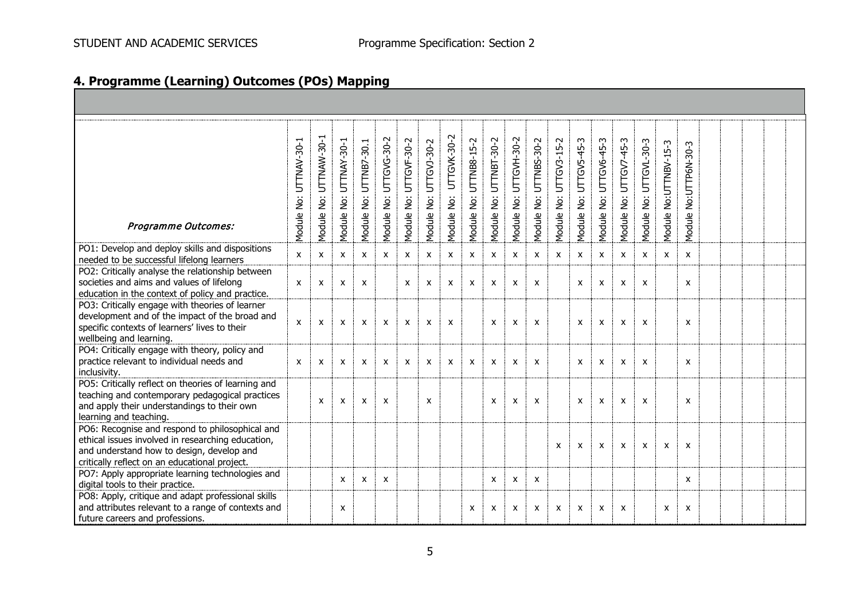| 4. Programme (Learning) Outcomes (POs) Mapping |  |  |  |  |
|------------------------------------------------|--|--|--|--|
|------------------------------------------------|--|--|--|--|

| <b>Programme Outcomes:</b>                                                                                                                                                                         | Module No: UTTNAV-30-1 | Module No: UTTNAW-30-1    | UTTNAY-30-1<br>Module No: | UTTNB7-30.1<br>Module No: | UTTGVG-30-2<br>Module No: | UTTGVF-30-2<br>Module No: | UTTGVJ-30-2<br>Module No: | UTTGVK-30-2<br>Module No: | UTTNB8-15-2<br>Module No: | UTTNBT-30-2<br>Module No: | Module No: UTTGVH-30-2    | Module No: UTTNBS-30-2    | UTTGV3-15-2<br>Module No: | UTTGV5-45-3<br>Module No: | UTTGV6-45-3<br>Module No: | UTTGV7-45-3<br>Module No: | Module No: UTTGVL-30-3    | Module No:UTTNBV-15-3     | No:UTTP6N-30-3<br>Module  |  |  |  |
|----------------------------------------------------------------------------------------------------------------------------------------------------------------------------------------------------|------------------------|---------------------------|---------------------------|---------------------------|---------------------------|---------------------------|---------------------------|---------------------------|---------------------------|---------------------------|---------------------------|---------------------------|---------------------------|---------------------------|---------------------------|---------------------------|---------------------------|---------------------------|---------------------------|--|--|--|
| PO1: Develop and deploy skills and dispositions<br>needed to be successful lifelong learners                                                                                                       | X                      | $\boldsymbol{\mathsf{x}}$ | X                         | $\mathsf{x}$              | $\mathsf{x}$              | X                         | $\mathsf{x}$              | $\boldsymbol{\mathsf{x}}$ | X                         | $\mathsf{x}$              | X                         | $\mathsf{x}$              | $\boldsymbol{\mathsf{x}}$ | $\mathsf{x}$              | $\mathsf{x}$              | X                         | $\mathsf{x}$              | $\boldsymbol{\mathsf{x}}$ | $\mathsf{x}$              |  |  |  |
| PO2: Critically analyse the relationship between<br>societies and aims and values of lifelong<br>education in the context of policy and practice.                                                  | $\mathsf{x}$           | X                         | $\boldsymbol{\mathsf{x}}$ | $\boldsymbol{\mathsf{x}}$ |                           | X                         | $\mathsf{x}$              | $\boldsymbol{\mathsf{x}}$ | $\mathsf{x}$              | X                         | X                         | $\boldsymbol{\mathsf{x}}$ |                           | X                         | X                         | $\boldsymbol{\mathsf{x}}$ | $\boldsymbol{\mathsf{x}}$ |                           | $\boldsymbol{\mathsf{x}}$ |  |  |  |
| PO3: Critically engage with theories of learner<br>development and of the impact of the broad and<br>specific contexts of learners' lives to their<br>wellbeing and learning.                      | X                      | $\boldsymbol{\mathsf{x}}$ | X                         | X                         | $\mathsf{x}$              | X                         | $\mathsf{x}$              | $\boldsymbol{\mathsf{x}}$ |                           | X                         | $\boldsymbol{\mathsf{x}}$ | $\boldsymbol{\mathsf{x}}$ |                           | X                         | X                         | X                         | $\boldsymbol{\mathsf{x}}$ |                           | X                         |  |  |  |
| PO4: Critically engage with theory, policy and<br>practice relevant to individual needs and<br>inclusivity.                                                                                        | X                      | X                         | X                         | $\mathsf{x}$              | X                         | X                         | X                         | $\boldsymbol{\mathsf{x}}$ | $\mathsf{x}$              | X                         | X                         | $\boldsymbol{\mathsf{x}}$ |                           | X                         | X                         | X                         | X                         |                           | $\mathsf{x}$              |  |  |  |
| PO5: Critically reflect on theories of learning and<br>teaching and contemporary pedagogical practices<br>and apply their understandings to their own<br>learning and teaching.                    |                        | $\mathsf{x}$              | X                         | X                         | X                         |                           | X                         |                           |                           | X                         | X                         | $\pmb{\chi}$              |                           | X                         | X                         | X                         | X                         |                           | $\boldsymbol{\mathsf{x}}$ |  |  |  |
| PO6: Recognise and respond to philosophical and<br>ethical issues involved in researching education,<br>and understand how to design, develop and<br>critically reflect on an educational project. |                        |                           |                           |                           |                           |                           |                           |                           |                           |                           |                           |                           | X                         | X                         | $\mathsf{x}$              | $\boldsymbol{\mathsf{x}}$ | $\boldsymbol{\mathsf{x}}$ | $\boldsymbol{\mathsf{x}}$ | X                         |  |  |  |
| PO7: Apply appropriate learning technologies and<br>digital tools to their practice.                                                                                                               |                        |                           | X                         | X                         | X                         |                           |                           |                           |                           | X                         | X                         | $\mathsf{x}$              |                           |                           |                           |                           |                           |                           | $\mathsf{x}$              |  |  |  |
| PO8: Apply, critique and adapt professional skills<br>and attributes relevant to a range of contexts and<br>future careers and professions.                                                        |                        |                           | X                         |                           |                           |                           |                           |                           | X                         | X                         | X                         | X                         | X                         | X                         | X                         | X                         |                           | X                         | X                         |  |  |  |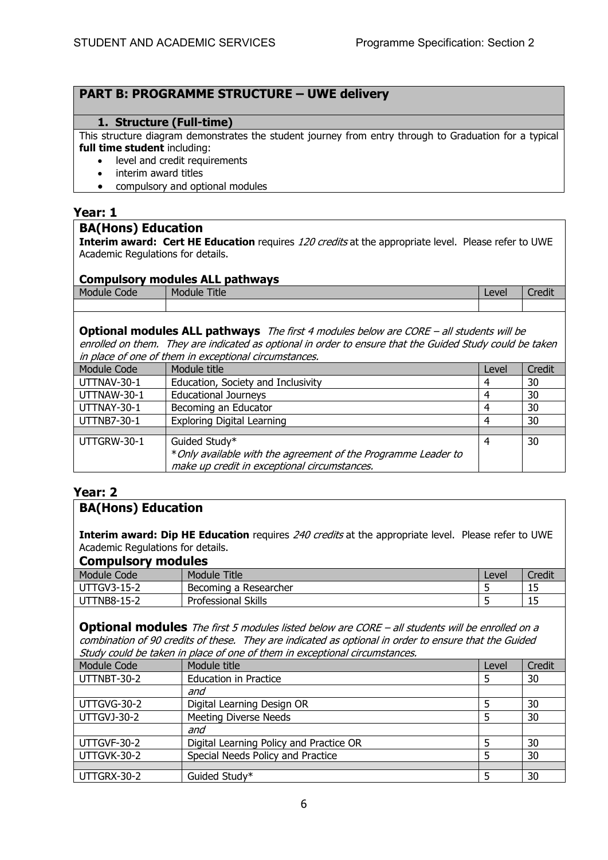### **PART B: PROGRAMME STRUCTURE – UWE delivery**

#### **1. Structure (Full-time)**

This structure diagram demonstrates the student journey from entry through to Graduation for a typical **full time student** including:

- level and credit requirements
- interim award titles
- compulsory and optional modules

#### **Year: 1**

#### **BA(Hons) Education**

**Interim award: Cert HE Education** requires 120 credits at the appropriate level. Please refer to UWE Academic Regulations for details.

#### **Compulsory modules ALL pathways**

| ------------               | ----               |                      | -------------------- |       |                  |
|----------------------------|--------------------|----------------------|----------------------|-------|------------------|
| <b>Mod</b><br>Code<br>dule | . .<br>$M_{\rm C}$ | <b>Title</b><br>iule |                      | Level | <br>$P^{\prime}$ |
|                            |                    |                      |                      |       |                  |

#### **Optional modules ALL pathways** The first 4 modules below are CORE – all students will be enrolled on them. They are indicated as optional in order to ensure that the Guided Study could be taken in place of one of them in exceptional circumstances.

|             | <u>m piace of one of them in exceptional circumstances.</u>                                                                     |       |        |  |  |  |  |
|-------------|---------------------------------------------------------------------------------------------------------------------------------|-------|--------|--|--|--|--|
| Module Code | Module title                                                                                                                    | Level | Credit |  |  |  |  |
| UTTNAV-30-1 | Education, Society and Inclusivity                                                                                              | 4     | 30     |  |  |  |  |
| UTTNAW-30-1 | <b>Educational Journeys</b>                                                                                                     | 4     | 30     |  |  |  |  |
| UTTNAY-30-1 | Becoming an Educator                                                                                                            | 4     | 30     |  |  |  |  |
| UTTNB7-30-1 | <b>Exploring Digital Learning</b>                                                                                               | 4     | 30     |  |  |  |  |
|             |                                                                                                                                 |       |        |  |  |  |  |
| UTTGRW-30-1 | Guided Study*<br>* Only available with the agreement of the Programme Leader to<br>make up credit in exceptional circumstances. | 4     | 30     |  |  |  |  |

## **Year: 2**

## **BA(Hons) Education**

**Interim award: Dip HE Education** requires 240 credits at the appropriate level. Please refer to UWE Academic Regulations for details.

#### **Compulsory modules**

| -----------<br>    |                            |       |        |  |  |  |  |  |
|--------------------|----------------------------|-------|--------|--|--|--|--|--|
| Module Code        | Title<br>Module            | Level | Credit |  |  |  |  |  |
| <b>UTTGV3-15-2</b> | Becoming a Researcher      | -     | ∸~     |  |  |  |  |  |
| <b>UTTNB8-15-2</b> | <b>Professional Skills</b> |       | ᆠ      |  |  |  |  |  |

**Optional modules** The first 5 modules listed below are CORE – all students will be enrolled on a combination of 90 credits of these. They are indicated as optional in order to ensure that the Guided Study could be taken in place of one of them in exceptional circumstances.

| <b>Module Code</b> | Module title                            | Level | Credit |
|--------------------|-----------------------------------------|-------|--------|
| UTTNBT-30-2        | <b>Education in Practice</b>            |       | 30     |
|                    | and                                     |       |        |
| UTTGVG-30-2        | Digital Learning Design OR              | 5     | 30     |
| <b>UTTGVJ-30-2</b> | <b>Meeting Diverse Needs</b>            |       | 30     |
|                    | and                                     |       |        |
| UTTGVF-30-2        | Digital Learning Policy and Practice OR | 5     | 30     |
| UTTGVK-30-2        | Special Needs Policy and Practice       | 5     | 30     |
|                    |                                         |       |        |
| UTTGRX-30-2        | Guided Study*                           | 5     | 30     |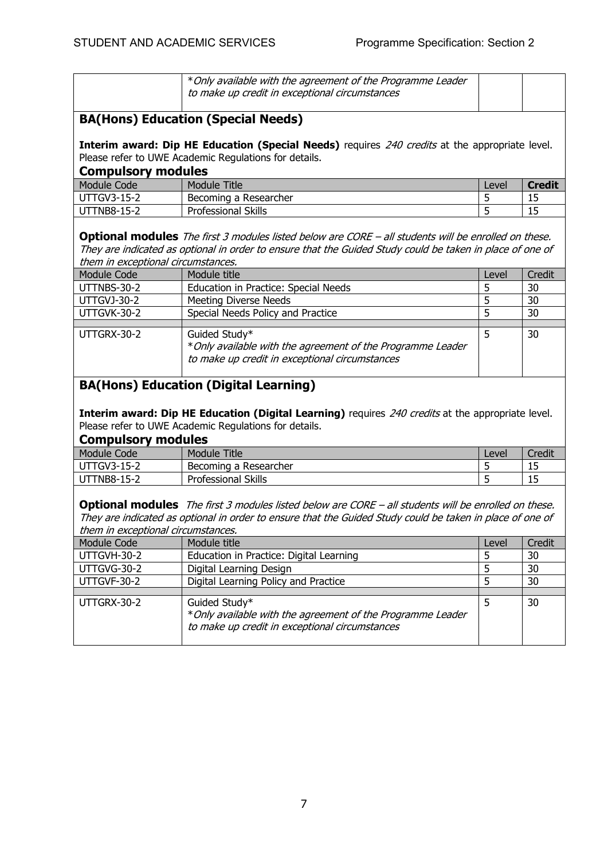|                                                                                                                                                                                      | *Only available with the agreement of the Programme Leader<br>to make up credit in exceptional circumstances |       |               |  |  |  |  |  |  |
|--------------------------------------------------------------------------------------------------------------------------------------------------------------------------------------|--------------------------------------------------------------------------------------------------------------|-------|---------------|--|--|--|--|--|--|
| <b>BA(Hons) Education (Special Needs)</b>                                                                                                                                            |                                                                                                              |       |               |  |  |  |  |  |  |
| Interim award: Dip HE Education (Special Needs) requires 240 credits at the appropriate level.<br>Please refer to UWE Academic Regulations for details.<br><b>Compulsory modules</b> |                                                                                                              |       |               |  |  |  |  |  |  |
| Module Code                                                                                                                                                                          | Module Title                                                                                                 | Level | <b>Credit</b> |  |  |  |  |  |  |
| <b>UTTGV3-15-2</b>                                                                                                                                                                   | Becoming a Researcher                                                                                        | 5     | 15            |  |  |  |  |  |  |
| UTTNB8-15-2                                                                                                                                                                          | <b>Professional Skills</b>                                                                                   | 5     | 15            |  |  |  |  |  |  |
|                                                                                                                                                                                      | — III — aan aan aan                                                                                          |       |               |  |  |  |  |  |  |

**Optional modules** The first 3 modules listed below are CORE – all students will be enrolled on these. They are indicated as optional in order to ensure that the Guided Study could be taken in place of one of them in exceptional circumstances.

| Module Code | Module title                                                                                                                   | Level | Credit |
|-------------|--------------------------------------------------------------------------------------------------------------------------------|-------|--------|
| UTTNBS-30-2 | Education in Practice: Special Needs                                                                                           |       | 30     |
| UTTGVJ-30-2 | <b>Meeting Diverse Needs</b>                                                                                                   |       | 30     |
| UTTGVK-30-2 | Special Needs Policy and Practice                                                                                              |       | 30     |
|             |                                                                                                                                |       |        |
| UTTGRX-30-2 | Guided Study*<br>* Only available with the agreement of the Programme Leader<br>to make up credit in exceptional circumstances |       | 30     |

# **BA(Hons) Education (Digital Learning)**

**Interim award: Dip HE Education (Digital Learning)** requires 240 credits at the appropriate level. Please refer to UWE Academic Regulations for details.

#### **Compulsory modules**

| -----------        |                            |       |        |
|--------------------|----------------------------|-------|--------|
| Module Code        | <b>Title</b><br>Module     | Level | Credit |
| <b>UTTGV3-15-2</b> | Becoming a Researcher      |       | ن بار  |
| FNB8-15-2<br>U     | <b>Professional Skills</b> |       | ن بار  |
|                    |                            |       |        |

**Optional modules** The first 3 modules listed below are CORE – all students will be enrolled on these. They are indicated as optional in order to ensure that the Guided Study could be taken in place of one of them in exceptional circumstances.

| u ich in caccouonal cheannolances. |                                                                                                                                |       |        |  |  |  |
|------------------------------------|--------------------------------------------------------------------------------------------------------------------------------|-------|--------|--|--|--|
| Module Code                        | Module title                                                                                                                   | Level | Credit |  |  |  |
| UTTGVH-30-2                        | Education in Practice: Digital Learning                                                                                        |       | 30     |  |  |  |
| UTTGVG-30-2                        | Digital Learning Design                                                                                                        |       | 30     |  |  |  |
| UTTGVF-30-2                        | Digital Learning Policy and Practice                                                                                           |       | 30     |  |  |  |
|                                    |                                                                                                                                |       |        |  |  |  |
| UTTGRX-30-2                        | Guided Study*<br>* Only available with the agreement of the Programme Leader<br>to make up credit in exceptional circumstances |       | 30     |  |  |  |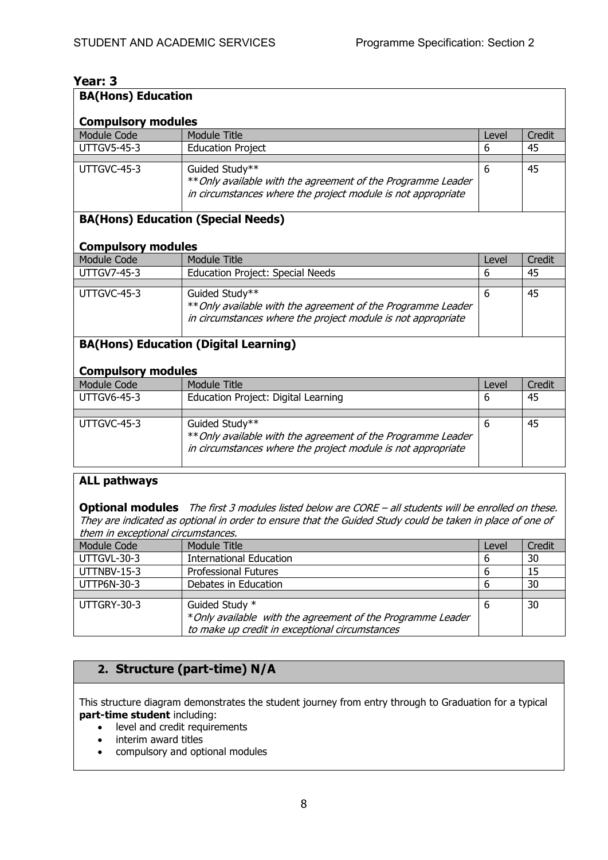| Year: 3                                         |                                                              |            |        |
|-------------------------------------------------|--------------------------------------------------------------|------------|--------|
| <b>BA(Hons) Education</b>                       |                                                              |            |        |
|                                                 |                                                              |            |        |
| <b>Compulsory modules</b><br><b>Module Code</b> | <b>Module Title</b>                                          | Level      | Credit |
| <b>UTTGV5-45-3</b>                              |                                                              | 6          | 45     |
|                                                 | <b>Education Project</b>                                     |            |        |
| UTTGVC-45-3                                     | Guided Study**                                               | 6          | 45     |
|                                                 | ** Only available with the agreement of the Programme Leader |            |        |
|                                                 | in circumstances where the project module is not appropriate |            |        |
|                                                 | <b>BA(Hons) Education (Special Needs)</b>                    |            |        |
|                                                 |                                                              |            |        |
| <b>Compulsory modules</b><br>Module Code        | <b>Module Title</b>                                          |            | Credit |
| <b>UTTGV7-45-3</b>                              |                                                              | Level<br>6 |        |
|                                                 | <b>Education Project: Special Needs</b>                      |            | 45     |
| UTTGVC-45-3                                     | Guided Study**                                               | 6          | 45     |
|                                                 | ** Only available with the agreement of the Programme Leader |            |        |
|                                                 | in circumstances where the project module is not appropriate |            |        |
|                                                 |                                                              |            |        |
|                                                 | <b>BA(Hons) Education (Digital Learning)</b>                 |            |        |
|                                                 |                                                              |            |        |
| <b>Compulsory modules</b>                       |                                                              |            |        |
| <b>Module Code</b>                              | <b>Module Title</b>                                          | Level      | Credit |
| <b>UTTGV6-45-3</b>                              | Education Project: Digital Learning                          | 6          | 45     |
|                                                 |                                                              |            |        |
| UTTGVC-45-3                                     | Guided Study**                                               | 6          | 45     |
|                                                 | ** Only available with the agreement of the Programme Leader |            |        |
|                                                 | in circumstances where the project module is not appropriate |            |        |

#### **ALL pathways**

**Optional modules** The first 3 modules listed below are CORE – all students will be enrolled on these. They are indicated as optional in order to ensure that the Guided Study could be taken in place of one of them in exceptional circumstances.

| Module Code | Module Title                                                                  | Level | Credit |  |  |
|-------------|-------------------------------------------------------------------------------|-------|--------|--|--|
| UTTGVL-30-3 | <b>International Education</b>                                                | 6     | 30     |  |  |
| UTTNBV-15-3 | <b>Professional Futures</b>                                                   | 6     | 15     |  |  |
| UTTP6N-30-3 | Debates in Education                                                          | 6     | 30     |  |  |
|             |                                                                               |       |        |  |  |
| UTTGRY-30-3 | Guided Study *<br>* Only available with the agreement of the Programme Leader | 6     | 30     |  |  |
|             | to make up credit in exceptional circumstances                                |       |        |  |  |

# **2. Structure (part-time) N/A**

This structure diagram demonstrates the student journey from entry through to Graduation for a typical **part-time student** including:

- level and credit requirements
- interim award titles
- compulsory and optional modules